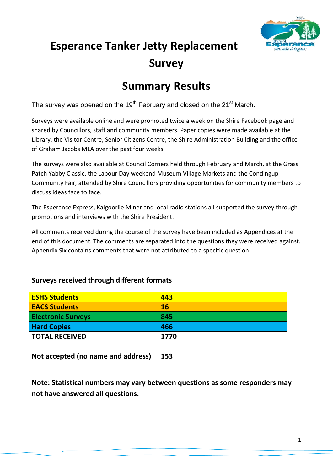

# **Esperance Tanker Jetty Replacement Survey**

# **Summary Results**

The survey was opened on the 19<sup>th</sup> February and closed on the 21 $\mathrm{^{st}}$  March.

Surveys were available online and were promoted twice a week on the Shire Facebook page and shared by Councillors, staff and community members. Paper copies were made available at the Library, the Visitor Centre, Senior Citizens Centre, the Shire Administration Building and the office of Graham Jacobs MLA over the past four weeks.

The surveys were also available at Council Corners held through February and March, at the Grass Patch Yabby Classic, the Labour Day weekend Museum Village Markets and the Condingup Community Fair, attended by Shire Councillors providing opportunities for community members to discuss ideas face to face.

The Esperance Express, Kalgoorlie Miner and local radio stations all supported the survey through promotions and interviews with the Shire President.

All comments received during the course of the survey have been included as Appendices at the end of this document. The comments are separated into the questions they were received against. Appendix Six contains comments that were not attributed to a specific question.

### **Surveys received through different formats**

| <b>ESHS Students</b>               | 443       |
|------------------------------------|-----------|
| <b>EACS Students</b>               | <b>16</b> |
| <b>Electronic Surveys</b>          | 845       |
| <b>Hard Copies</b>                 | 466       |
| <b>TOTAL RECEIVED</b>              | 1770      |
|                                    |           |
| Not accepted (no name and address) | 153       |

**Note: Statistical numbers may vary between questions as some responders may not have answered all questions.**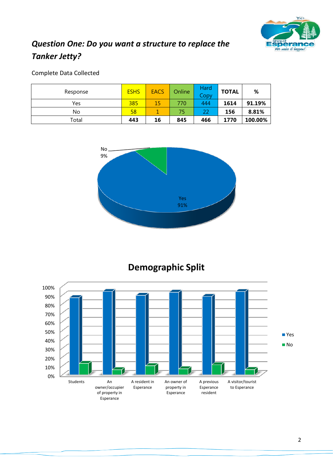

### *Question One: Do you want a structure to replace the Tanker Jetty?*

### Complete Data Collected

| Response | <b>ESHS</b> | <b>EACS</b> | Online | Hard<br>Copy | <b>TOTAL</b> | %       |
|----------|-------------|-------------|--------|--------------|--------------|---------|
| Yes      | 385         | 15          | 770    | 444          | 1614         | 91.19%  |
| No       | 58          |             | 75     | 22           | 156          | 8.81%   |
| Total    | 443         | 16          | 845    | 466          | 1770         | 100.00% |



### **Demographic Split**

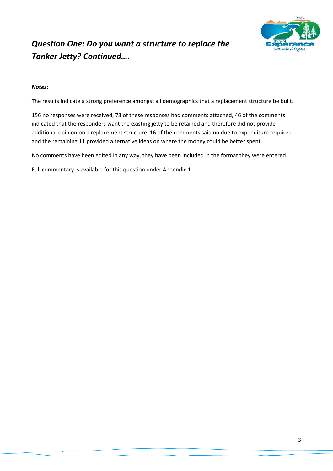

### *Question One: Do you want a structure to replace the Tanker Jetty? Continued….*

#### *Notes***:**

The results indicate a strong preference amongst all demographics that a replacement structure be built.

156 no responses were received, 73 of these responses had comments attached, 46 of the comments indicated that the responders want the existing jetty to be retained and therefore did not provide additional opinion on a replacement structure. 16 of the comments said no due to expenditure required and the remaining 11 provided alternative ideas on where the money could be better spent.

No comments have been edited in any way, they have been included in the format they were entered.

Full commentary is available for this question under Appendix 1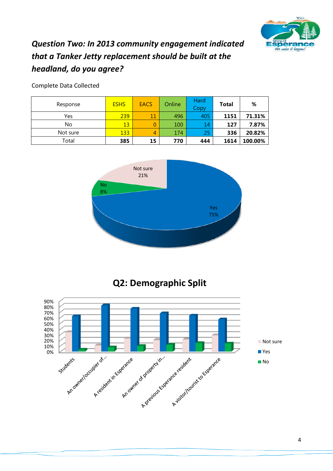

### *Question Two: In 2013 community engagement indicated that a Tanker Jetty replacement should be built at the headland, do you agree?*

| Response | <b>ESHS</b> | <b>EACS</b> | Online | Hard<br>Copy | <b>Total</b> | %       |
|----------|-------------|-------------|--------|--------------|--------------|---------|
| Yes      | 239         | 11          | 496    | 405          | 1151         | 71.31%  |
| No       | 13          |             | 100    | 14           | 127          | 7.87%   |
| Not sure | 133         | 4           | 174    | 25           | 336          | 20.82%  |
| Total    | 385         | 15          | 770    | 444          | 1614         | 100.00% |

Yes 71% No 8% Not sure 21%



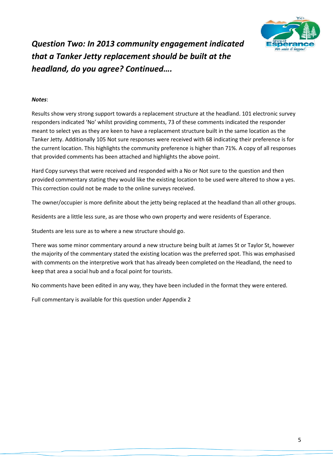

*Question Two: In 2013 community engagement indicated that a Tanker Jetty replacement should be built at the headland, do you agree? Continued….*

#### *Notes*:

Results show very strong support towards a replacement structure at the headland. 101 electronic survey responders indicated 'No' whilst providing comments, 73 of these comments indicated the responder meant to select yes as they are keen to have a replacement structure built in the same location as the Tanker Jetty. Additionally 105 Not sure responses were received with 68 indicating their preference is for the current location. This highlights the community preference is higher than 71%. A copy of all responses that provided comments has been attached and highlights the above point.

Hard Copy surveys that were received and responded with a No or Not sure to the question and then provided commentary stating they would like the existing location to be used were altered to show a yes. This correction could not be made to the online surveys received.

The owner/occupier is more definite about the jetty being replaced at the headland than all other groups.

Residents are a little less sure, as are those who own property and were residents of Esperance.

Students are less sure as to where a new structure should go.

There was some minor commentary around a new structure being built at James St or Taylor St, however the majority of the commentary stated the existing location was the preferred spot. This was emphasised with comments on the interpretive work that has already been completed on the Headland, the need to keep that area a social hub and a focal point for tourists.

No comments have been edited in any way, they have been included in the format they were entered.

Full commentary is available for this question under Appendix 2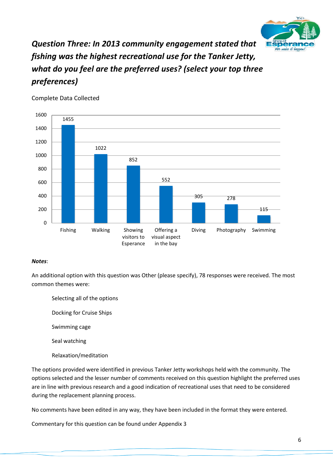

## *Question Three: In 2013 community engagement stated that fishing was the highest recreational use for the Tanker Jetty, what do you feel are the preferred uses? (select your top three preferences)*



Complete Data Collected

#### *Notes*:

An additional option with this question was Other (please specify), 78 responses were received. The most common themes were:

- Selecting all of the options
- Docking for Cruise Ships
- Swimming cage
- Seal watching
- Relaxation/meditation

The options provided were identified in previous Tanker Jetty workshops held with the community. The options selected and the lesser number of comments received on this question highlight the preferred uses are in line with previous research and a good indication of recreational uses that need to be considered during the replacement planning process.

No comments have been edited in any way, they have been included in the format they were entered.

Commentary for this question can be found under Appendix 3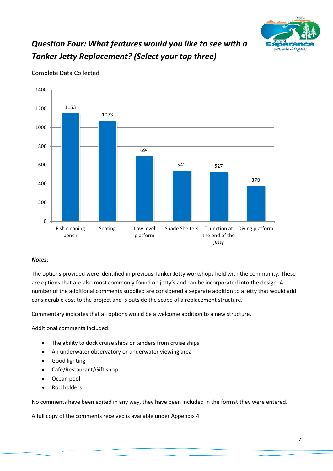

## *Question Four: What features would you like to see with a Tanker Jetty Replacement? (Select your top three)*



Complete Data Collected

#### *Notes*:

The options provided were identified in previous Tanker Jetty workshops held with the community. These are options that are also most commonly found on jetty's and can be incorporated into the design. A number of the additional comments supplied are considered a separate addition to a jetty that would add considerable cost to the project and is outside the scope of a replacement structure.

Commentary indicates that all options would be a welcome addition to a new structure.

Additional comments included:

- The ability to dock cruise ships or tenders from cruise ships
- An underwater observatory or underwater viewing area
- Good lighting
- Café/Restaurant/Gift shop
- Ocean pool
- Rod holders

No comments have been edited in any way, they have been included in the format they were entered.

A full copy of the comments received is available under Appendix 4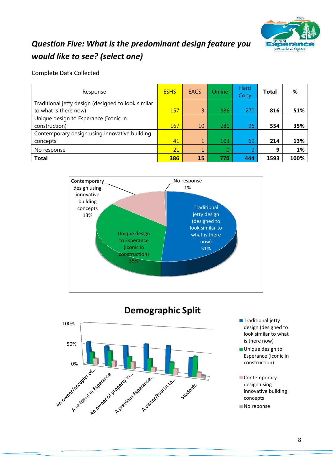

### *Question Five: What is the predominant design feature you would like to see? (select one)*

| Response                                                                    | <b>ESHS</b> | <b>EACS</b> | Online | Hard<br>Copy | <b>Total</b> | %    |
|-----------------------------------------------------------------------------|-------------|-------------|--------|--------------|--------------|------|
| Traditional jetty design (designed to look similar<br>to what is there now) | 157         | 3           | 386    | 270          | 816          | 51%  |
| Unique design to Esperance (Iconic in<br>construction)                      | 167         | 10          | 281    | 96           | 554          | 35%  |
| Contemporary design using innovative building<br>concepts                   | 41          | 1           | 103    | 69           | 214          | 13%  |
| No response                                                                 | 21          |             | 0      | 9            | 9            | 1%   |
| <b>Total</b>                                                                | 386         | 15          | 770    | 444          | 1593         | 100% |







- **Traditional jetty** design (designed to look similar to what is there now)
- **Unique design to** Esperance (Iconic in construction)
- Contemporary design using innovative building concepts
- No reponse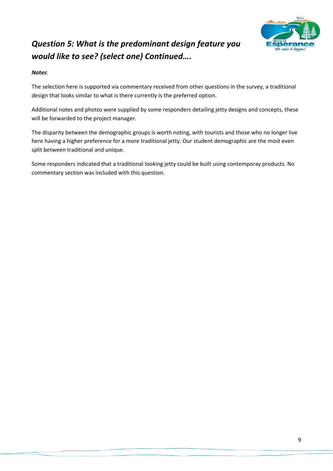

# *Question 5: What is the predominant design feature you would like to see? (select one) Continued….*

#### *Notes*:

The selection here is supported via commentary received from other questions in the survey, a traditional design that looks similar to what is there currently is the preferred option.

Additional notes and photos were supplied by some responders detailing jetty designs and concepts, these will be forwarded to the project manager.

The disparity between the demographic groups is worth noting, with tourists and those who no longer live here having a higher preference for a more traditional jetty. Our student demographic are the most even split between traditional and unique.

Some responders indicated that a traditional looking jetty could be built using contemporay products. No commentary section was included with this question.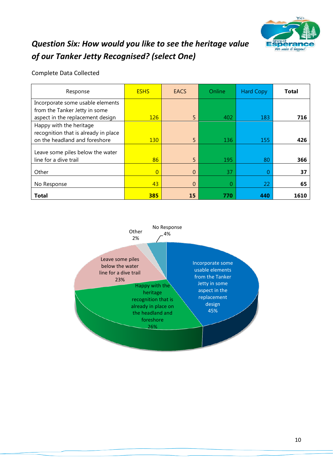

## *Question Six: How would you like to see the heritage value of our Tanker Jetty Recognised? (select One)*

| Response                             | <b>ESHS</b>    | <b>EACS</b> | Online | <b>Hard Copy</b> | <b>Total</b> |
|--------------------------------------|----------------|-------------|--------|------------------|--------------|
| Incorporate some usable elements     |                |             |        |                  |              |
| from the Tanker Jetty in some        |                |             |        |                  |              |
| aspect in the replacement design     | 126            | 5           | 402    | 183              | 716          |
| Happy with the heritage              |                |             |        |                  |              |
| recognition that is already in place |                |             |        |                  |              |
| on the headland and foreshore        | <b>130</b>     | 5           | 136    | 155              | 426          |
| Leave some piles below the water     |                |             |        |                  |              |
| line for a dive trail                | 86             | 5           | 195    | 80               | 366          |
|                                      |                |             |        |                  |              |
| Other                                | $\overline{0}$ | 0           | 37     |                  | 37           |
| No Response                          | 43             | 0           | ი      | 22               | 65           |
| <b>Total</b>                         | 385            | 15          | 770    | 440              | 1610         |

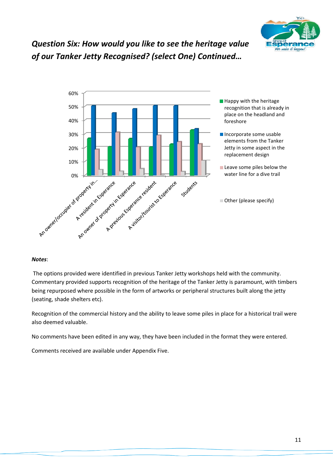

# *Question Six: How would you like to see the heritage value of our Tanker Jetty Recognised? (select One) Continued…*



#### *Notes*:

The options provided were identified in previous Tanker Jetty workshops held with the community. Commentary provided supports recognition of the heritage of the Tanker Jetty is paramount, with timbers being repurposed where possible in the form of artworks or peripheral structures built along the jetty (seating, shade shelters etc).

Recognition of the commercial history and the ability to leave some piles in place for a historical trail were also deemed valuable.

No comments have been edited in any way, they have been included in the format they were entered.

Comments received are available under Appendix Five.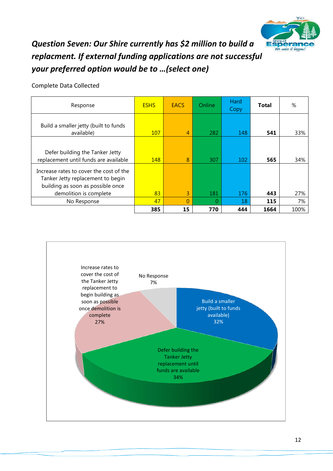

### *Question Seven: Our Shire currently has \$2 million to build a replacment. If external funding applications are not successful your preferred option would be to …(select one)*

| Response                                                                                                                                    | <b>ESHS</b> | EACS           | <b>Online</b> | Hard<br>Copy | Total | %    |
|---------------------------------------------------------------------------------------------------------------------------------------------|-------------|----------------|---------------|--------------|-------|------|
| Build a smaller jetty (built to funds<br>available)                                                                                         | 107         | $\overline{4}$ | 282           | 148          | 541   | 33%  |
| Defer building the Tanker Jetty<br>replacement until funds are available                                                                    | 148         | 8              | 307           | 102          | 565   | 34%  |
| Increase rates to cover the cost of the<br>Tanker Jetty replacement to begin<br>building as soon as possible once<br>demolition is complete | 83          | 3              | 181           | 176          | 443   | 27%  |
| No Response                                                                                                                                 | 47          | $\Omega$       | 0             | 18           | 115   | 7%   |
|                                                                                                                                             | 385         | 15             | 770           | 444          | 1664  | 100% |

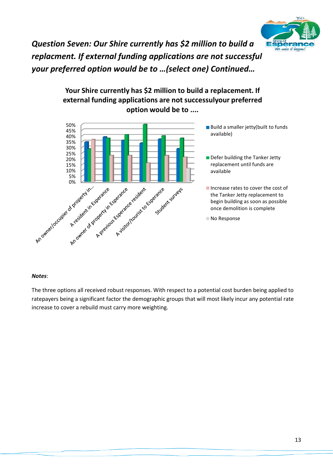

*Question Seven: Our Shire currently has \$2 million to build a replacment. If external funding applications are not successful your preferred option would be to …(select one) Continued…*

### **Your Shire currently has \$2 million to build a replacement. If external funding applications are not successulyour preferred option would be to ....**



#### *Notes*:

The three options all received robust responses. With respect to a potential cost burden being applied to ratepayers being a significant factor the demographic groups that will most likely incur any potential rate increase to cover a rebuild must carry more weighting.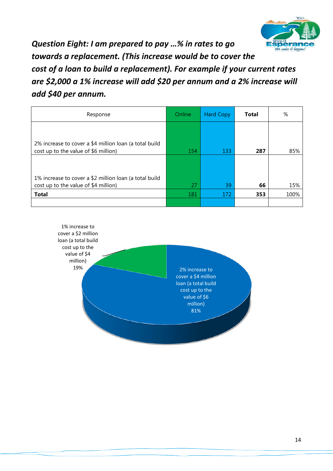

*Question Eight: I am prepared to pay …% in rates to go towards a replacement. (This increase would be to cover the cost of a loan to build a replacement). For example if your current rates are \$2,000 a 1% increase will add \$20 per annum and a 2% increase will add \$40 per annum.*

| Response                                                                                       | Online | <b>Hard Copy</b> | <b>Total</b> | %    |
|------------------------------------------------------------------------------------------------|--------|------------------|--------------|------|
|                                                                                                |        |                  |              |      |
| 2% increase to cover a \$4 million loan (a total build<br>cost up to the value of \$6 million) | 154    | 133              | 287          | 85%  |
|                                                                                                |        |                  |              |      |
| 1% increase to cover a \$2 million loan (a total build<br>cost up to the value of \$4 million) | 27     | 39               | 66           | 15%  |
| <b>Total</b>                                                                                   | 181    | 172              | 353          | 100% |
|                                                                                                |        |                  |              |      |